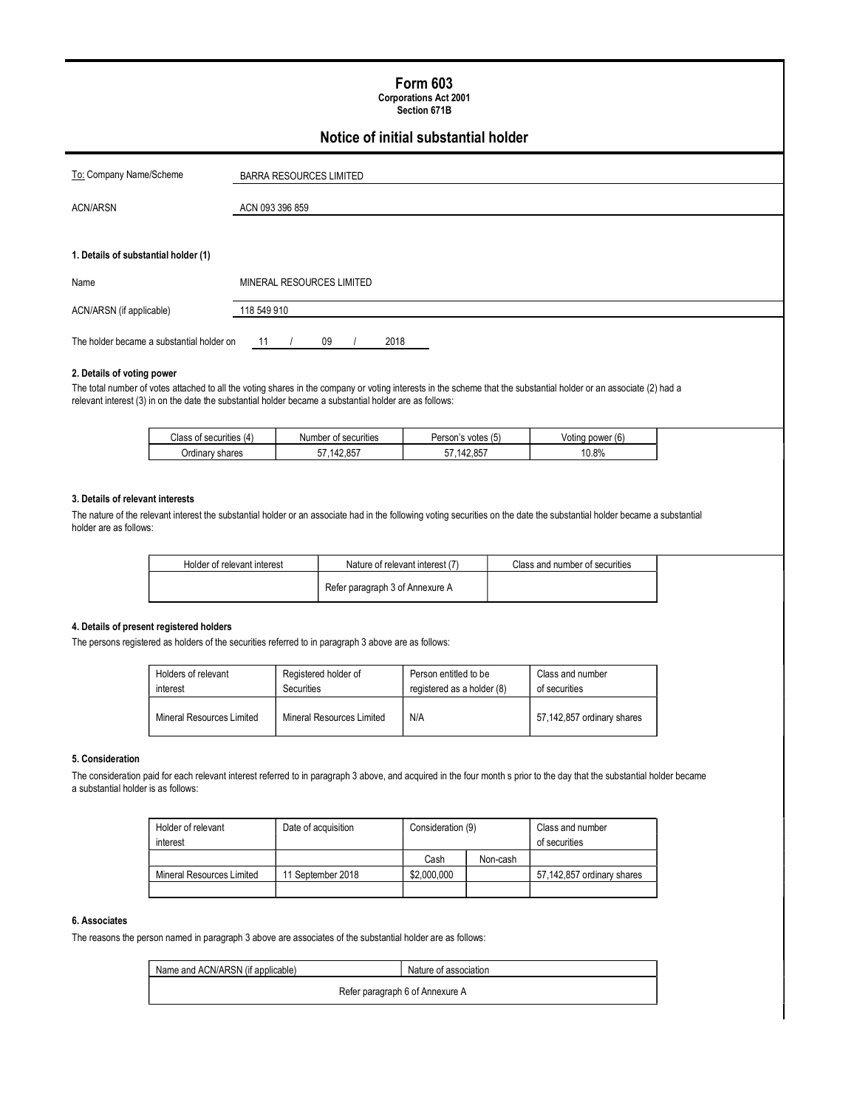## Form 603

Corporations Act 2001 Section 671B

## Notice of initial substantial holder

| To: Company Name/Scheme                   | <b>BARRA RESOURCES LIMITED</b> |  |
|-------------------------------------------|--------------------------------|--|
| <b>ACN/ARSN</b>                           | ACN 093 396 859                |  |
|                                           |                                |  |
| 1. Details of substantial holder (1)      |                                |  |
| Name                                      | MINERAL RESOURCES LIMITED      |  |
| ACN/ARSN (if applicable)                  | 118 549 910                    |  |
| The holder became a substantial holder on | 09<br>2018<br>-11              |  |

#### 2. Details of voting power

The total number of votes attached to all the voting shares in the company or voting interests in the scheme that the substantial holder or an associate (2) had a relevant interest (3) in on the date the substantial holder became a substantial holder are as follows:

| Class<br>of securities<br>14 | Number of securities                      | $\overline{\phantom{a}}$<br>Person<br>∵votes (5.<br>$\cdot$ | $\sim$<br>power (6<br>oting |
|------------------------------|-------------------------------------------|-------------------------------------------------------------|-----------------------------|
| Ordinary shares              | <b>AQ 957</b><br>--<br>17 L<br>וכ<br>L.UJ | <b>12.857</b><br>$- -$<br>42.UJ                             | 0.8%                        |

#### 3. Details of relevant interests

The nature of the relevant interest the substantial holder or an associate had in the following voting securities on the date the substantial holder became a substantial holder are as follows:

| Holder of relevant interest | Nature of relevant interest (   | Class and number of securities |
|-----------------------------|---------------------------------|--------------------------------|
|                             | Refer paragraph 3 of Annexure A |                                |

#### 4. Details of present registered holders

The persons registered as holders of the securities referred to in paragraph 3 above are as follows:

| Holders of relevant       | Registered holder of      | Person entitled to be      | Class and number           |
|---------------------------|---------------------------|----------------------------|----------------------------|
| interest                  | <b>Securities</b>         | registered as a holder (8) | of securities              |
| Mineral Resources Limited | Mineral Resources Limited | N/A                        | 57,142,857 ordinary shares |

#### 5. Consideration

The consideration paid for each relevant interest referred to in paragraph 3 above, and acquired in the four month s prior to the day that the substantial holder became a substantial holder is as follows:

| Holder of relevant        | Date of acquisition | Consideration (9) |          | Class and number           |
|---------------------------|---------------------|-------------------|----------|----------------------------|
| interest                  |                     |                   |          | of securities              |
|                           |                     | Cash              | Non-cash |                            |
| Mineral Resources Limited | 11 September 2018   | \$2,000.000       |          | 57,142,857 ordinary shares |
|                           |                     |                   |          |                            |

#### 6. Associates

The reasons the person named in paragraph 3 above are associates of the substantial holder are as follows:

| Name and ACN/ARSN (if applicable) | Nature of association           |  |
|-----------------------------------|---------------------------------|--|
|                                   | Refer paragraph 6 of Annexure A |  |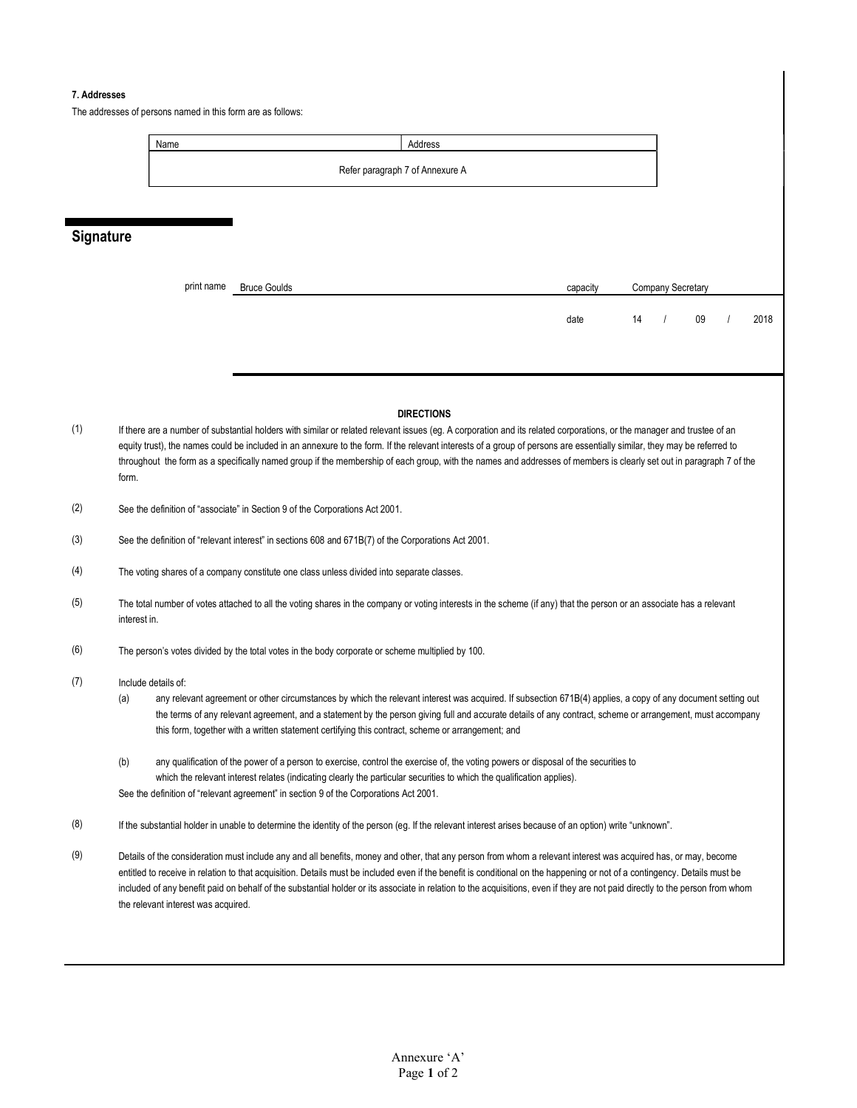#### 7. Addresses

The addresses of persons named in this form are as follows:



## **Signature**

| print name | <b>Bruce Goulds</b> | capacity |    | Company Secretary |    |      |
|------------|---------------------|----------|----|-------------------|----|------|
|            |                     | date     | 14 |                   | 09 | 2018 |
|            |                     |          |    |                   |    |      |

#### **DIRECTIONS**

- (1) If there are a number of substantial holders with similar or related relevant issues (eg. A corporation and its related corporations, or the manager and trustee of an equity trust), the names could be included in an annexure to the form. If the relevant interests of a group of persons are essentially similar, they may be referred to throughout the form as a specifically named group if the membership of each group, with the names and addresses of members is clearly set out in paragraph 7 of the form.
- (2) See the definition of "associate" in Section 9 of the Corporations Act 2001.
- (3) See the definition of "relevant interest" in sections 608 and 671B(7) of the Corporations Act 2001.
- (4) The voting shares of a company constitute one class unless divided into separate classes.
- (5) The total number of votes attached to all the voting shares in the company or voting interests in the scheme (if any) that the person or an associate has a relevant interest in.
- (6) The person's votes divided by the total votes in the body corporate or scheme multiplied by 100.

#### (7) Include details of:

- (a) any relevant agreement or other circumstances by which the relevant interest was acquired. If subsection 671B(4) applies, a copy of any document setting out the terms of any relevant agreement, and a statement by the person giving full and accurate details of any contract, scheme or arrangement, must accompany this form, together with a written statement certifying this contract, scheme or arrangement; and
- (b) any qualification of the power of a person to exercise, control the exercise of, the voting powers or disposal of the securities to which the relevant interest relates (indicating clearly the particular securities to which the qualification applies). See the definition of "relevant agreement" in section 9 of the Corporations Act 2001.
- (8) If the substantial holder in unable to determine the identity of the person (eg. If the relevant interest arises because of an option) write "unknown".
- (9) Details of the consideration must include any and all benefits, money and other, that any person from whom a relevant interest was acquired has, or may, become entitled to receive in relation to that acquisition. Details must be included even if the benefit is conditional on the happening or not of a contingency. Details must be included of any benefit paid on behalf of the substantial holder or its associate in relation to the acquisitions, even if they are not paid directly to the person from whom the relevant interest was acquired.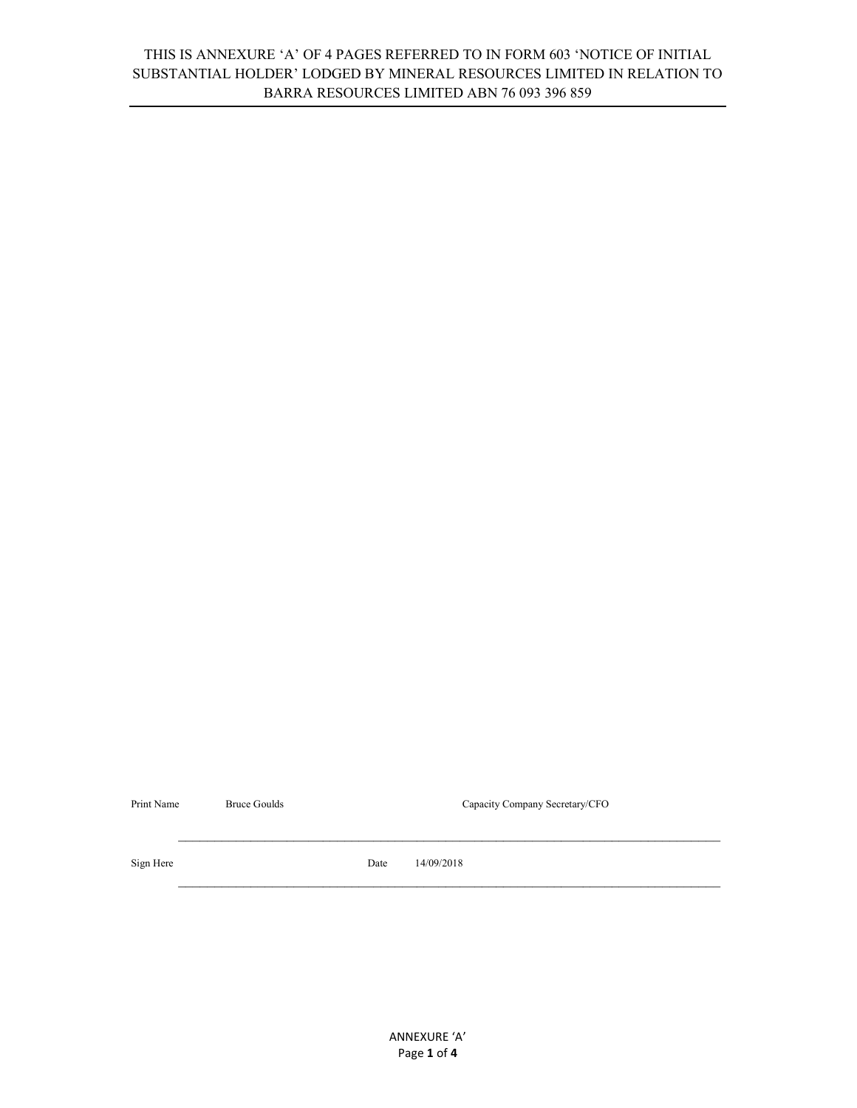## THIS IS ANNEXURE 'A' OF 4 PAGES REFERRED TO IN FORM 603 'NOTICE OF INITIAL SUBSTANTIAL HOLDER' LODGED BY MINERAL RESOURCES LIMITED IN RELATION TO BARRA RESOURCES LIMITED ABN 76 093 396 859

| Print Name | <b>Bruce Goulds</b> | Capacity Company Secretary/CFO |            |
|------------|---------------------|--------------------------------|------------|
|            |                     |                                |            |
|            |                     |                                |            |
| Sign Here  |                     | Date                           | 14/09/2018 |
|            |                     |                                |            |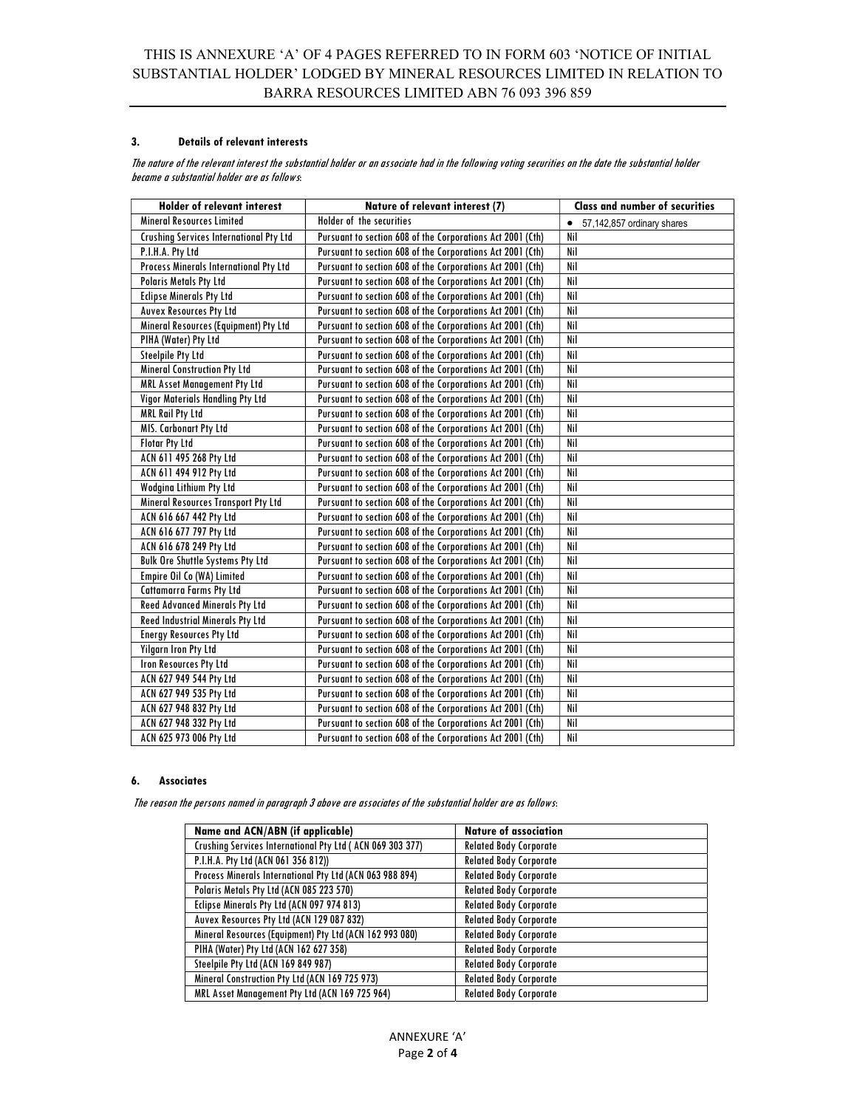### 3. Details of relevant interests

The nature of the relevant interest the substantial holder or an associate had in the following voting securities on the date the substantial holder became a substantial holder are as follows:

| <b>Holder of relevant interest</b>             | Nature of relevant interest (7)                            | <b>Class and number of securities</b>   |
|------------------------------------------------|------------------------------------------------------------|-----------------------------------------|
| <b>Mineral Resources Limited</b>               | Holder of the securities                                   | 57,142,857 ordinary shares<br>$\bullet$ |
| <b>Crushing Services International Pty Ltd</b> | Pursuant to section 608 of the Corporations Act 2001 (Cth) | Nil                                     |
| P.I.H.A. Pty Ltd                               | Pursuant to section 608 of the Corporations Act 2001 (Cth) | Nil                                     |
| Process Minerals International Pty Ltd         | Pursuant to section 608 of the Corporations Act 2001 (Cth) | Nil                                     |
| <b>Polaris Metals Pty Ltd</b>                  | Pursuant to section 608 of the Corporations Act 2001 (Cth) | Nil                                     |
| <b>Eclipse Minerals Pty Ltd</b>                | Pursuant to section 608 of the Corporations Act 2001 (Cth) | Nil                                     |
| <b>Auvex Resources Pty Ltd</b>                 | Pursuant to section 608 of the Corporations Act 2001 (Cth) | Nil                                     |
| Mineral Resources (Equipment) Pty Ltd          | Pursuant to section 608 of the Corporations Act 2001 (Cth) | Nil                                     |
| PIHA (Water) Pty Ltd                           | Pursuant to section 608 of the Corporations Act 2001 (Cth) | Nil                                     |
| <b>Steelpile Pty Ltd</b>                       | Pursuant to section 608 of the Corporations Act 2001 (Cth) | Nil                                     |
| <b>Mineral Construction Pty Ltd</b>            | Pursuant to section 608 of the Corporations Act 2001 (Cth) | Nil                                     |
| MRL Asset Management Pty Ltd                   | Pursuant to section 608 of the Corporations Act 2001 (Cth) | Nil                                     |
| Vigor Materials Handling Pty Ltd               | Pursuant to section 608 of the Corporations Act 2001 (Cth) | Nil                                     |
| <b>MRL Rail Pty Ltd</b>                        | Pursuant to section 608 of the Corporations Act 2001 (Cth) | Nil                                     |
| MIS. Carbonart Pty Ltd                         | Pursuant to section 608 of the Corporations Act 2001 (Cth) | Nil                                     |
| <b>Flotar Pty Ltd</b>                          | Pursuant to section 608 of the Corporations Act 2001 (Cth) | Nil                                     |
| ACN 611 495 268 Pty Ltd                        | Pursuant to section 608 of the Corporations Act 2001 (Cth) | Nil                                     |
| ACN 611 494 912 Pty Ltd                        | Pursuant to section 608 of the Corporations Act 2001 (Cth) | Nil                                     |
| Wodgina Lithium Pty Ltd                        | Pursuant to section 608 of the Corporations Act 2001 (Cth) | Nil                                     |
| <b>Mineral Resources Transport Pty Ltd</b>     | Pursuant to section 608 of the Corporations Act 2001 (Cth) | Nil                                     |
| ACN 616 667 442 Pty Ltd                        | Pursuant to section 608 of the Corporations Act 2001 (Cth) | Nil                                     |
| ACN 616 677 797 Pty Ltd                        | Pursuant to section 608 of the Corporations Act 2001 (Cth) | Nil                                     |
| ACN 616 678 249 Pty Ltd                        | Pursuant to section 608 of the Corporations Act 2001 (Cth) | Nil                                     |
| <b>Bulk Ore Shuttle Systems Pty Ltd</b>        | Pursuant to section 608 of the Corporations Act 2001 (Cth) | Nil                                     |
| <b>Empire Oil Co (WA) Limited</b>              | Pursuant to section 608 of the Corporations Act 2001 (Cth) | Nil                                     |
| <b>Cattamarra Farms Pty Ltd</b>                | Pursuant to section 608 of the Corporations Act 2001 (Cth) | Nil                                     |
| <b>Reed Advanced Minerals Pty Ltd</b>          | Pursuant to section 608 of the Corporations Act 2001 (Cth) | Nil                                     |
| <b>Reed Industrial Minerals Pty Ltd</b>        | Pursuant to section 608 of the Corporations Act 2001 (Cth) | Nil                                     |
| <b>Energy Resources Pty Ltd</b>                | Pursuant to section 608 of the Corporations Act 2001 (Cth) | Nil                                     |
| Yilgarn Iron Pty Ltd                           | Pursuant to section 608 of the Corporations Act 2001 (Cth) | Nil                                     |
| <b>Iron Resources Pty Ltd</b>                  | Pursuant to section 608 of the Corporations Act 2001 (Cth) | Nil                                     |
| ACN 627 949 544 Pty Ltd                        | Pursuant to section 608 of the Corporations Act 2001 (Cth) | Nil                                     |
| ACN 627 949 535 Pty Ltd                        | Pursuant to section 608 of the Corporations Act 2001 (Cth) | Nil                                     |
| ACN 627 948 832 Pty Ltd                        | Pursuant to section 608 of the Corporations Act 2001 (Cth) | Nil                                     |
| ACN 627 948 332 Pty Ltd                        | Pursuant to section 608 of the Corporations Act 2001 (Cth) | Nil                                     |
| ACN 625 973 006 Pty Ltd                        | Pursuant to section 608 of the Corporations Act 2001 (Cth) | Nil                                     |

### 6. Associates

The reason the persons named in paragraph 3 above are associates of the substantial holder are as follows:

| Name and ACN/ABN (if applicable)                          | <b>Nature of association</b>  |
|-----------------------------------------------------------|-------------------------------|
| Crushing Services International Pty Ltd (ACN 069 303 377) | <b>Related Body Corporate</b> |
| P.I.H.A. Pty Ltd (ACN 061 356 812))                       | <b>Related Body Corporate</b> |
| Process Minerals International Pty Ltd (ACN 063 988 894)  | <b>Related Body Corporate</b> |
| Polaris Metals Pty Ltd (ACN 085 223 570)                  | <b>Related Body Corporate</b> |
| Eclipse Minerals Pty Ltd (ACN 097 974 813)                | <b>Related Body Corporate</b> |
| Auvex Resources Pty Ltd (ACN 129 087 832)                 | <b>Related Body Corporate</b> |
| Mineral Resources (Equipment) Pty Ltd (ACN 162 993 080)   | <b>Related Body Corporate</b> |
| PIHA (Water) Pty Ltd (ACN 162 627 358)                    | <b>Related Body Corporate</b> |
| Steelpile Pty Ltd (ACN 169 849 987)                       | <b>Related Body Corporate</b> |
| Mineral Construction Pty Ltd (ACN 169 725 973)            | <b>Related Body Corporate</b> |
| MRL Asset Management Pty Ltd (ACN 169 725 964)            | <b>Related Body Corporate</b> |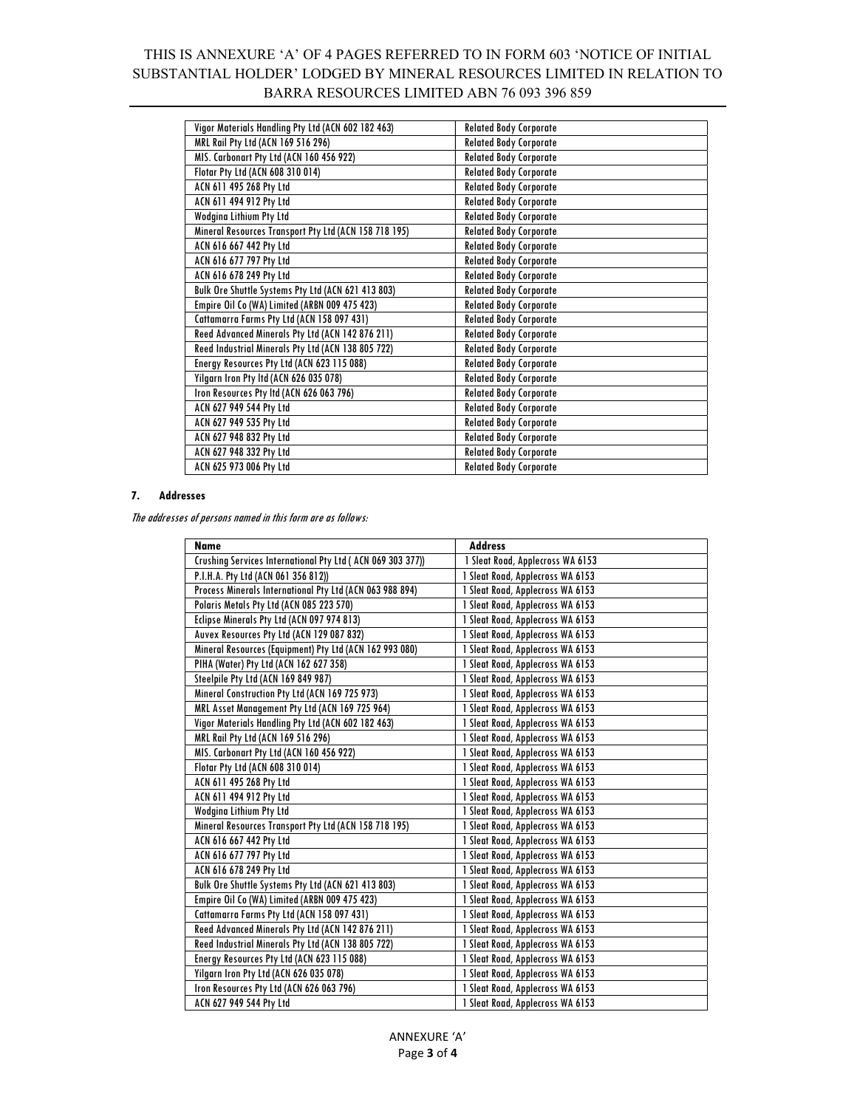# THIS IS ANNEXURE 'A' OF 4 PAGES REFERRED TO IN FORM 603 'NOTICE OF INITIAL SUBSTANTIAL HOLDER' LODGED BY MINERAL RESOURCES LIMITED IN RELATION TO BARRA RESOURCES LIMITED ABN 76 093 396 859

| Vigor Materials Handling Pty Ltd (ACN 602 182 463)    | <b>Related Body Corporate</b> |
|-------------------------------------------------------|-------------------------------|
| MRL Rail Pty Ltd (ACN 169 516 296)                    | <b>Related Body Corporate</b> |
| MIS. Carbonart Pty Ltd (ACN 160 456 922)              | <b>Related Body Corporate</b> |
| Flotar Pty Ltd (ACN 608 310 014)                      | <b>Related Body Corporate</b> |
| ACN 611 495 268 Pty Ltd                               | <b>Related Body Corporate</b> |
| ACN 611 494 912 Pty Ltd                               | <b>Related Body Corporate</b> |
| Wodgina Lithium Pty Ltd                               | <b>Related Body Corporate</b> |
| Mineral Resources Transport Pty Ltd (ACN 158 718 195) | <b>Related Body Corporate</b> |
| ACN 616 667 442 Pty Ltd                               | <b>Related Body Corporate</b> |
| ACN 616 677 797 Pty Ltd                               | <b>Related Body Corporate</b> |
| ACN 616 678 249 Pty Ltd                               | <b>Related Body Corporate</b> |
| Bulk Ore Shuttle Systems Pty Ltd (ACN 621 413 803)    | <b>Related Body Corporate</b> |
| Empire Oil Co (WA) Limited (ARBN 009 475 423)         | <b>Related Body Corporate</b> |
| Cattamarra Farms Pty Ltd (ACN 158 097 431)            | <b>Related Body Corporate</b> |
| Reed Advanced Minerals Pty Ltd (ACN 142 876 211)      | <b>Related Body Corporate</b> |
| Reed Industrial Minerals Pty Ltd (ACN 138 805 722)    | <b>Related Body Corporate</b> |
| Energy Resources Pty Ltd (ACN 623 115 088)            | <b>Related Body Corporate</b> |
| Yilgarn Iron Pty Itd (ACN 626 035 078)                | <b>Related Body Corporate</b> |
| Iron Resources Pty Itd (ACN 626 063 796)              | <b>Related Body Corporate</b> |
| ACN 627 949 544 Pty Ltd                               | <b>Related Body Corporate</b> |
| ACN 627 949 535 Pty Ltd                               | <b>Related Body Corporate</b> |
| ACN 627 948 832 Pty Ltd                               | <b>Related Body Corporate</b> |
| ACN 627 948 332 Pty Ltd                               | <b>Related Body Corporate</b> |
| ACN 625 973 006 Pty Ltd                               | <b>Related Body Corporate</b> |

### 7. Addresses

The addresses of persons named in this form are as follows:

| <b>Name</b>                                                 | <b>Address</b>                   |
|-------------------------------------------------------------|----------------------------------|
| Crushing Services International Pty Ltd ( ACN 069 303 377)) | 1 Sleat Road, Applecross WA 6153 |
| P.I.H.A. Pty Ltd (ACN 061 356 812))                         | 1 Sleat Road, Applecross WA 6153 |
| Process Minerals International Pty Ltd (ACN 063 988 894)    | 1 Sleat Road, Applecross WA 6153 |
| Polaris Metals Pty Ltd (ACN 085 223 570)                    | 1 Sleat Road, Applecross WA 6153 |
| Eclipse Minerals Pty Ltd (ACN 097 974 813)                  | 1 Sleat Road, Applecross WA 6153 |
| Auvex Resources Pty Ltd (ACN 129 087 832)                   | 1 Sleat Road, Applecross WA 6153 |
| Mineral Resources (Equipment) Pty Ltd (ACN 162 993 080)     | 1 Sleat Road, Applecross WA 6153 |
| PIHA (Water) Pty Ltd (ACN 162 627 358)                      | 1 Sleat Road, Applecross WA 6153 |
| Steelpile Pty Ltd (ACN 169 849 987)                         | 1 Sleat Road, Applecross WA 6153 |
| Mineral Construction Pty Ltd (ACN 169 725 973)              | 1 Sleat Road, Applecross WA 6153 |
| MRL Asset Management Pty Ltd (ACN 169 725 964)              | 1 Sleat Road, Applecross WA 6153 |
| Vigor Materials Handling Pty Ltd (ACN 602 182 463)          | 1 Sleat Road, Applecross WA 6153 |
| MRL Rail Pty Ltd (ACN 169 516 296)                          | 1 Sleat Road, Applecross WA 6153 |
| MIS. Carbonart Pty Ltd (ACN 160 456 922)                    | 1 Sleat Road, Applecross WA 6153 |
| Flotar Pty Ltd (ACN 608 310 014)                            | 1 Sleat Road, Applecross WA 6153 |
| ACN 611 495 268 Pty Ltd                                     | 1 Sleat Road, Applecross WA 6153 |
| ACN 611 494 912 Pty Ltd                                     | 1 Sleat Road, Applecross WA 6153 |
| Wodgina Lithium Pty Ltd                                     | 1 Sleat Road, Applecross WA 6153 |
| Mineral Resources Transport Pty Ltd (ACN 158 718 195)       | 1 Sleat Road, Applecross WA 6153 |
| ACN 616 667 442 Pty Ltd                                     | 1 Sleat Road, Applecross WA 6153 |
| ACN 616 677 797 Pty Ltd                                     | 1 Sleat Road, Applecross WA 6153 |
| ACN 616 678 249 Pty Ltd                                     | 1 Sleat Road, Applecross WA 6153 |
| Bulk Ore Shuttle Systems Pty Ltd (ACN 621 413 803)          | 1 Sleat Road, Applecross WA 6153 |
| Empire Oil Co (WA) Limited (ARBN 009 475 423)               | 1 Sleat Road, Applecross WA 6153 |
| Cattamarra Farms Pty Ltd (ACN 158 097 431)                  | 1 Sleat Road, Applecross WA 6153 |
| Reed Advanced Minerals Pty Ltd (ACN 142 876 211)            | 1 Sleat Road, Applecross WA 6153 |
| Reed Industrial Minerals Pty Ltd (ACN 138 805 722)          | 1 Sleat Road, Applecross WA 6153 |
| Energy Resources Pty Ltd (ACN 623 115 088)                  | 1 Sleat Road, Applecross WA 6153 |
| Yilgarn Iron Pty Ltd (ACN 626 035 078)                      | 1 Sleat Road, Applecross WA 6153 |
| Iron Resources Pty Ltd (ACN 626 063 796)                    | 1 Sleat Road, Applecross WA 6153 |
| ACN 627 949 544 Pty Ltd                                     | 1 Sleat Road, Applecross WA 6153 |